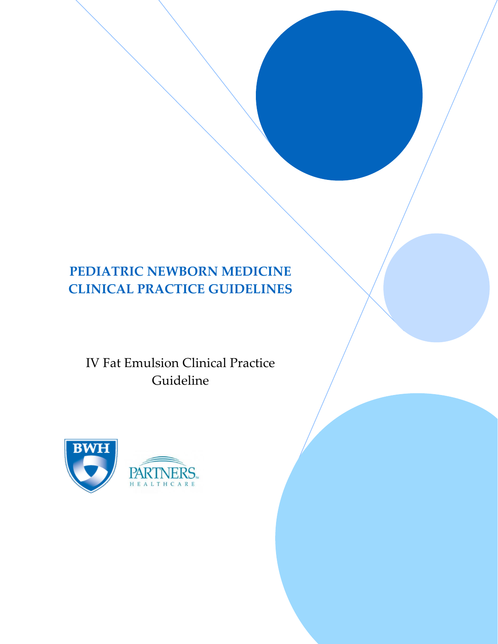# **PEDIATRIC NEWBORN MEDICINE CLINICAL PRACTICE GUIDELINES**

IV Fat Emulsion Clinical Practice Guideline

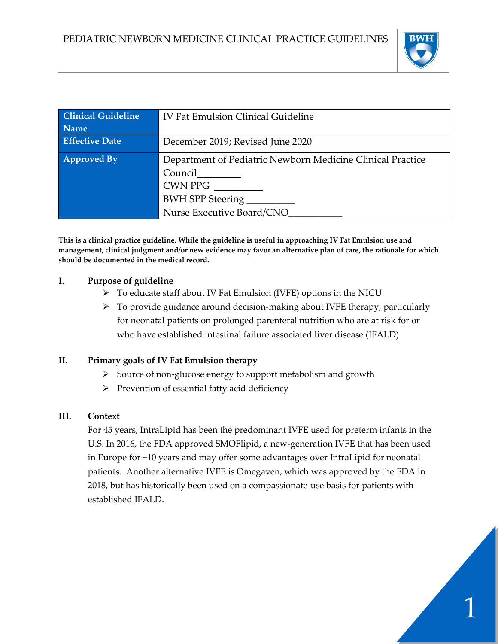

1

| <b>Clinical Guideline</b><br><b>Name</b> | <b>IV Fat Emulsion Clinical Guideline</b>                                                                                                       |
|------------------------------------------|-------------------------------------------------------------------------------------------------------------------------------------------------|
| <b>Effective Date</b>                    | December 2019; Revised June 2020                                                                                                                |
| <b>Approved By</b>                       | Department of Pediatric Newborn Medicine Clinical Practice<br>Council<br><b>CWN PPG</b><br><b>BWH SPP Steering</b><br>Nurse Executive Board/CNO |

**This is a clinical practice guideline. While the guideline is useful in approaching IV Fat Emulsion use and management, clinical judgment and/or new evidence may favor an alternative plan of care, the rationale for which should be documented in the medical record.**

#### **I. Purpose of guideline**

- ➢ To educate staff about IV Fat Emulsion (IVFE) options in the NICU
- ➢ To provide guidance around decision-making about IVFE therapy, particularly for neonatal patients on prolonged parenteral nutrition who are at risk for or who have established intestinal failure associated liver disease (IFALD)

# **II. Primary goals of IV Fat Emulsion therapy**

- ➢ Source of non-glucose energy to support metabolism and growth
- ➢ Prevention of essential fatty acid deficiency

# **III. Context**

For 45 years, IntraLipid has been the predominant IVFE used for preterm infants in the U.S. In 2016, the FDA approved SMOFlipid, a new-generation IVFE that has been used in Europe for ~10 years and may offer some advantages over IntraLipid for neonatal patients. Another alternative IVFE is Omegaven, which was approved by the FDA in 2018, but has historically been used on a compassionate-use basis for patients with established IFALD.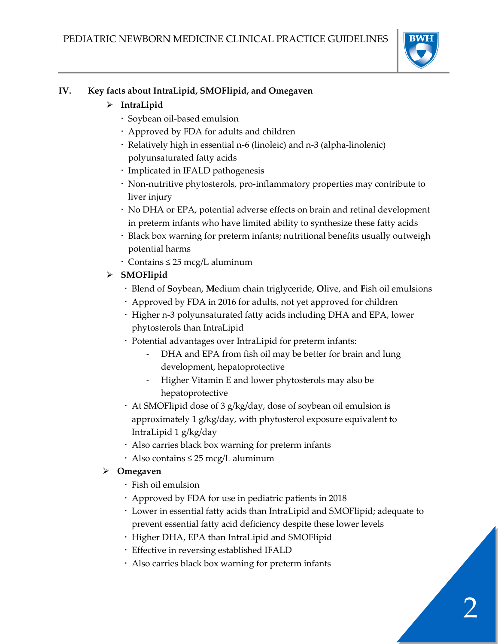

# **IV. Key facts about IntraLipid, SMOFlipid, and Omegaven**

# ➢ **IntraLipid**

- Soybean oil-based emulsion
- Approved by FDA for adults and children
- Relatively high in essential n-6 (linoleic) and n-3 (alpha-linolenic) polyunsaturated fatty acids
- Implicated in IFALD pathogenesis
- Non-nutritive phytosterols, pro-inflammatory properties may contribute to liver injury
- No DHA or EPA, potential adverse effects on brain and retinal development in preterm infants who have limited ability to synthesize these fatty acids
- Black box warning for preterm infants; nutritional benefits usually outweigh potential harms
- Contains ≤ 25 mcg/L aluminum
- ➢ **SMOFlipid**
	- Blend of **S**oybean, **M**edium chain triglyceride, **O**live, and **F**ish oil emulsions
	- Approved by FDA in 2016 for adults, not yet approved for children
	- Higher n-3 polyunsaturated fatty acids including DHA and EPA, lower phytosterols than IntraLipid
	- Potential advantages over IntraLipid for preterm infants:
		- DHA and EPA from fish oil may be better for brain and lung development, hepatoprotective
		- Higher Vitamin E and lower phytosterols may also be hepatoprotective
	- At SMOFlipid dose of 3 g/kg/day, dose of soybean oil emulsion is approximately 1 g/kg/day, with phytosterol exposure equivalent to IntraLipid 1 g/kg/day
	- Also carries black box warning for preterm infants
	- Also contains ≤ 25 mcg/L aluminum

# ➢ **Omegaven**

- $\cdot$  Fish oil emulsion
- Approved by FDA for use in pediatric patients in 2018
- Lower in essential fatty acids than IntraLipid and SMOFlipid; adequate to prevent essential fatty acid deficiency despite these lower levels
- Higher DHA, EPA than IntraLipid and SMOFlipid
- Effective in reversing established IFALD
- Also carries black box warning for preterm infants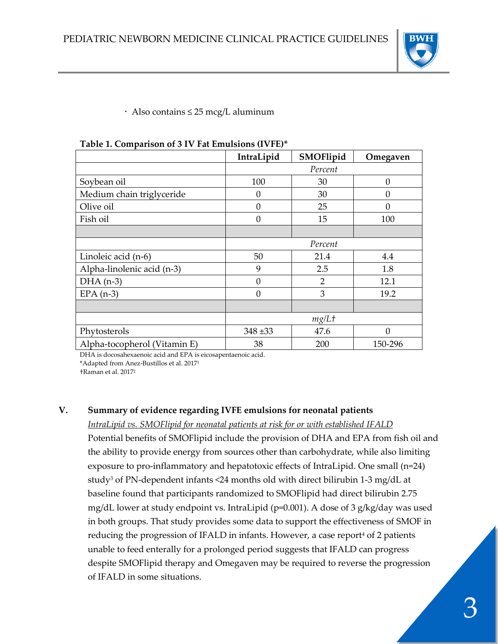

Also contains ≤ 25 mcg/L aluminum

|                              | IntraLipid | SMOFlipid | Omegaven |  |  |
|------------------------------|------------|-----------|----------|--|--|
|                              | Percent    |           |          |  |  |
| Soybean oil                  | 100        | 30        | $\Omega$ |  |  |
| Medium chain triglyceride    | 0          | 30        | $\Omega$ |  |  |
| Olive oil                    | $\Omega$   | 25        | $\Omega$ |  |  |
| Fish oil                     | $\Omega$   | 15        | 100      |  |  |
|                              |            |           |          |  |  |
|                              | Percent    |           |          |  |  |
| Linoleic acid (n-6)          | 50         | 21.4      | 4.4      |  |  |
| Alpha-linolenic acid (n-3)   | 9          | 2.5       | 1.8      |  |  |
| $DHA$ (n-3)                  | $\Omega$   | 2         | 12.1     |  |  |
| $EPA(n-3)$                   | $\Omega$   | 3         | 19.2     |  |  |
|                              |            |           |          |  |  |
|                              | mg/Lt      |           |          |  |  |
| Phytosterols                 | $348 + 33$ | 47.6      | $\Omega$ |  |  |
| Alpha-tocopherol (Vitamin E) | 38         | 200       | 150-296  |  |  |

#### **Table 1. Comparison of 3 IV Fat Emulsions (IVFE)\***

DHA is docosahexaenoic acid and EPA is eicosapentaenoic acid.

\*Adapted from Anez-Bustillos et al. 2017<sup>1</sup>

†Raman et al. 2017<sup>2</sup>

#### **V. Summary of evidence regarding IVFE emulsions for neonatal patients**

*IntraLipid vs. SMOFlipid for neonatal patients at risk for or with established IFALD* Potential benefits of SMOFlipid include the provision of DHA and EPA from fish oil and the ability to provide energy from sources other than carbohydrate, while also limiting exposure to pro-inflammatory and hepatotoxic effects of IntraLipid. One small (n=24) study<sup>3</sup> of PN-dependent infants <24 months old with direct bilirubin 1-3 mg/dL at baseline found that participants randomized to SMOFlipid had direct bilirubin 2.75 mg/dL lower at study endpoint vs. IntraLipid (p=0.001). A dose of 3 g/kg/day was used in both groups. That study provides some data to support the effectiveness of SMOF in reducing the progression of IFALD in infants. However, a case report<sup>4</sup> of 2 patients unable to feed enterally for a prolonged period suggests that IFALD can progress despite SMOFlipid therapy and Omegaven may be required to reverse the progression of IFALD in some situations.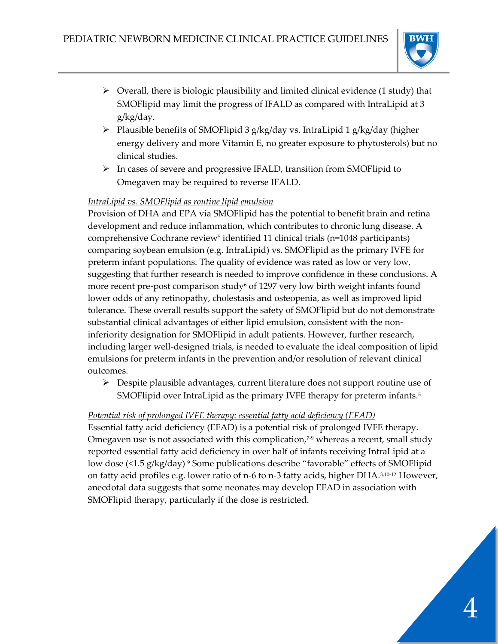

- ➢ Overall, there is biologic plausibility and limited clinical evidence (1 study) that SMOFlipid may limit the progress of IFALD as compared with IntraLipid at 3 g/kg/day.
- ➢ Plausible benefits of SMOFlipid 3 g/kg/day vs. IntraLipid 1 g/kg/day (higher energy delivery and more Vitamin E, no greater exposure to phytosterols) but no clinical studies.
- ➢ In cases of severe and progressive IFALD, transition from SMOFlipid to Omegaven may be required to reverse IFALD.

# *IntraLipid vs. SMOFlipid as routine lipid emulsion*

Provision of DHA and EPA via SMOFlipid has the potential to benefit brain and retina development and reduce inflammation, which contributes to chronic lung disease. A comprehensive Cochrane review<sup>5</sup> identified 11 clinical trials (n=1048 participants) comparing soybean emulsion (e.g. IntraLipid) vs. SMOFlipid as the primary IVFE for preterm infant populations. The quality of evidence was rated as low or very low, suggesting that further research is needed to improve confidence in these conclusions. A more recent pre-post comparison study<sup>6</sup> of 1297 very low birth weight infants found lower odds of any retinopathy, cholestasis and osteopenia, as well as improved lipid tolerance. These overall results support the safety of SMOFlipid but do not demonstrate substantial clinical advantages of either lipid emulsion, consistent with the noninferiority designation for SMOFlipid in adult patients. However, further research, including larger well-designed trials, is needed to evaluate the ideal composition of lipid emulsions for preterm infants in the prevention and/or resolution of relevant clinical outcomes.

➢ Despite plausible advantages, current literature does not support routine use of SMOFlipid over IntraLipid as the primary IVFE therapy for preterm infants.<sup>5</sup>

# *Potential risk of prolonged IVFE therapy: essential fatty acid deficiency (EFAD)*

Essential fatty acid deficiency (EFAD) is a potential risk of prolonged IVFE therapy. Omegaven use is not associated with this complication,<sup>7-9</sup> whereas a recent, small study reported essential fatty acid deficiency in over half of infants receiving IntraLipid at a low dose (<1.5 g/kg/day) <sup>9</sup> Some publications describe "favorable" effects of SMOFlipid on fatty acid profiles e.g. lower ratio of n-6 to n-3 fatty acids, higher DHA.3,10-12 However, anecdotal data suggests that some neonates may develop EFAD in association with SMOFlipid therapy, particularly if the dose is restricted.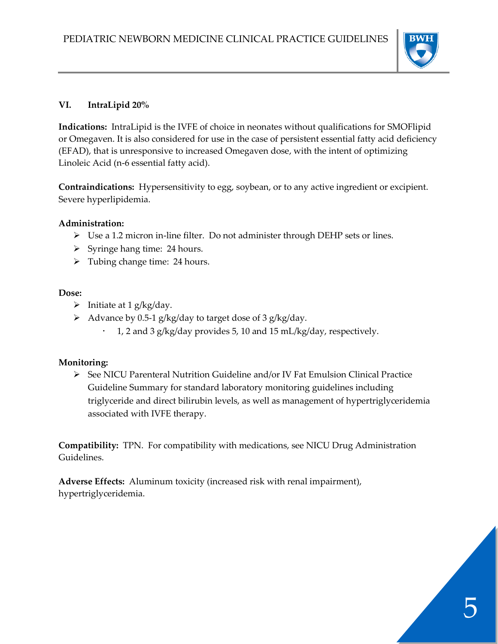

#### **VI. IntraLipid 20%**

**Indications:** IntraLipid is the IVFE of choice in neonates without qualifications for SMOFlipid or Omegaven. It is also considered for use in the case of persistent essential fatty acid deficiency (EFAD), that is unresponsive to increased Omegaven dose, with the intent of optimizing Linoleic Acid (n-6 essential fatty acid).

**Contraindications:** Hypersensitivity to egg, soybean, or to any active ingredient or excipient. Severe hyperlipidemia.

#### **Administration:**

- ➢ Use a 1.2 micron in-line filter. Do not administer through DEHP sets or lines.
- ➢ Syringe hang time: 24 hours.
- ➢ Tubing change time: 24 hours.

#### **Dose:**

- $\triangleright$  Initiate at 1 g/kg/day.
- $\triangleright$  Advance by 0.5-1 g/kg/day to target dose of 3 g/kg/day.
	- 1, 2 and 3 g/kg/day provides 5, 10 and 15 mL/kg/day, respectively.

# **Monitoring:**

➢ See NICU Parenteral Nutrition Guideline and/or IV Fat Emulsion Clinical Practice Guideline Summary for standard laboratory monitoring guidelines including triglyceride and direct bilirubin levels, as well as management of hypertriglyceridemia associated with IVFE therapy.

**Compatibility:** TPN. For compatibility with medications, see NICU Drug Administration Guidelines.

**Adverse Effects:** Aluminum toxicity (increased risk with renal impairment), hypertriglyceridemia.

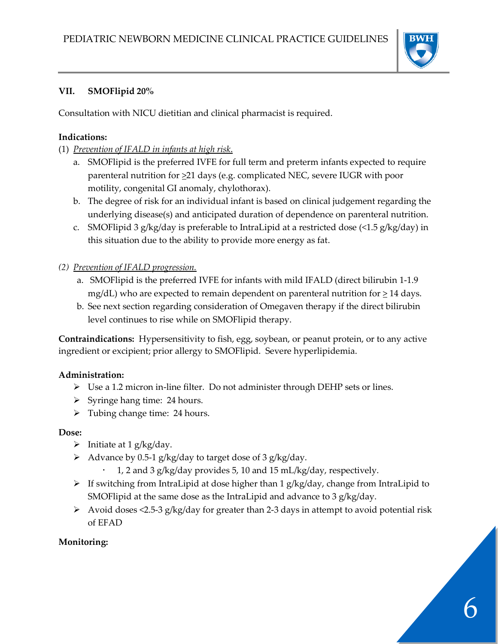

#### **VII. SMOFlipid 20%**

Consultation with NICU dietitian and clinical pharmacist is required.

#### **Indications:**

- (1) *Prevention of IFALD in infants at high risk*.
	- a. SMOFlipid is the preferred IVFE for full term and preterm infants expected to require parenteral nutrition for  $\geq 21$  days (e.g. complicated NEC, severe IUGR with poor motility, congenital GI anomaly, chylothorax).
	- b. The degree of risk for an individual infant is based on clinical judgement regarding the underlying disease(s) and anticipated duration of dependence on parenteral nutrition.
	- c. SMOFlipid 3 g/kg/day is preferable to IntraLipid at a restricted dose (<1.5 g/kg/day) in this situation due to the ability to provide more energy as fat.

#### *(2) Prevention of IFALD progression.*

- a. SMOFlipid is the preferred IVFE for infants with mild IFALD (direct bilirubin 1-1.9 mg/dL) who are expected to remain dependent on parenteral nutrition for  $\geq 14$  days.
- b. See next section regarding consideration of Omegaven therapy if the direct bilirubin level continues to rise while on SMOFlipid therapy.

**Contraindications:** Hypersensitivity to fish, egg, soybean, or peanut protein, or to any active ingredient or excipient; prior allergy to SMOFlipid. Severe hyperlipidemia.

# **Administration:**

- ➢ Use a 1.2 micron in-line filter. Do not administer through DEHP sets or lines.
- ➢ Syringe hang time: 24 hours.
- $\triangleright$  Tubing change time: 24 hours.

# **Dose:**

- $\triangleright$  Initiate at 1 g/kg/day.
- $\triangleright$  Advance by 0.5-1 g/kg/day to target dose of 3 g/kg/day.
	- 1, 2 and 3 g/kg/day provides 5, 10 and 15 mL/kg/day, respectively.
- ➢ If switching from IntraLipid at dose higher than 1 g/kg/day, change from IntraLipid to SMOFlipid at the same dose as the IntraLipid and advance to 3 g/kg/day.
- ➢ Avoid doses <2.5-3 g/kg/day for greater than 2-3 days in attempt to avoid potential risk of EFAD

# **Monitoring:**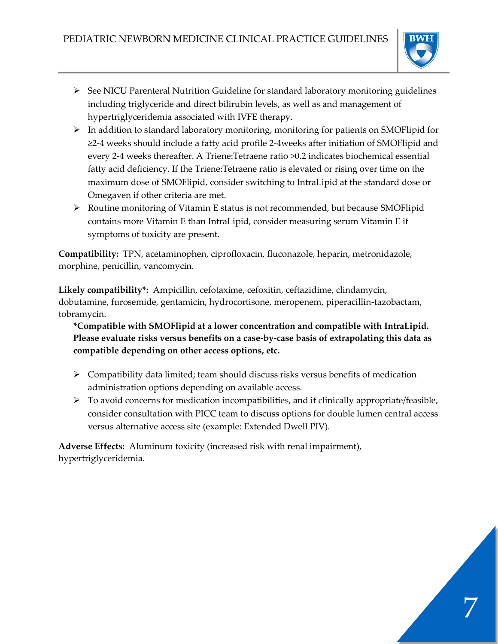

- ➢ See NICU Parenteral Nutrition Guideline for standard laboratory monitoring guidelines including triglyceride and direct bilirubin levels, as well as and management of hypertriglyceridemia associated with IVFE therapy.
- $\triangleright$  In addition to standard laboratory monitoring, monitoring for patients on SMOFlipid for ≥2-4 weeks should include a fatty acid profile 2-4weeks after initiation of SMOFlipid and every 2-4 weeks thereafter. A Triene:Tetraene ratio >0.2 indicates biochemical essential fatty acid deficiency. If the Triene:Tetraene ratio is elevated or rising over time on the maximum dose of SMOFlipid, consider switching to IntraLipid at the standard dose or Omegaven if other criteria are met.
- ➢ Routine monitoring of Vitamin E status is not recommended, but because SMOFlipid contains more Vitamin E than IntraLipid, consider measuring serum Vitamin E if symptoms of toxicity are present.

**Compatibility:** TPN, acetaminophen, ciprofloxacin, fluconazole, heparin, metronidazole, morphine, penicillin, vancomycin.

**Likely compatibility\*:** Ampicillin, cefotaxime, cefoxitin, ceftazidime, clindamycin, dobutamine, furosemide, gentamicin, hydrocortisone, meropenem, piperacillin-tazobactam, tobramycin.

**\*Compatible with SMOFlipid at a lower concentration and compatible with IntraLipid. Please evaluate risks versus benefits on a case-by-case basis of extrapolating this data as compatible depending on other access options, etc.**

- ➢ Compatibility data limited; team should discuss risks versus benefits of medication administration options depending on available access.
- $\triangleright$  To avoid concerns for medication incompatibilities, and if clinically appropriate/feasible, consider consultation with PICC team to discuss options for double lumen central access versus alternative access site (example: Extended Dwell PIV).

**Adverse Effects:** Aluminum toxicity (increased risk with renal impairment), hypertriglyceridemia.

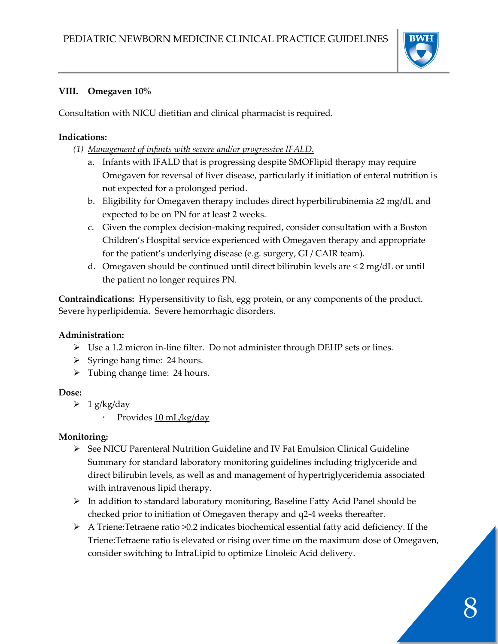

#### **VIII. Omegaven 10%**

Consultation with NICU dietitian and clinical pharmacist is required.

#### **Indications:**

- *(1) Management of infants with severe and/or progressive IFALD.*
	- a. Infants with IFALD that is progressing despite SMOFlipid therapy may require Omegaven for reversal of liver disease, particularly if initiation of enteral nutrition is not expected for a prolonged period.
	- b. Eligibility for Omegaven therapy includes direct hyperbilirubinemia ≥2 mg/dL and expected to be on PN for at least 2 weeks.
	- c. Given the complex decision-making required, consider consultation with a Boston Children's Hospital service experienced with Omegaven therapy and appropriate for the patient's underlying disease (e.g. surgery, GI / CAIR team).
	- d. Omegaven should be continued until direct bilirubin levels are < 2 mg/dL or until the patient no longer requires PN.

**Contraindications:** Hypersensitivity to fish, egg protein, or any components of the product. Severe hyperlipidemia. Severe hemorrhagic disorders.

# **Administration:**

- $\triangleright$  Use a 1.2 micron in-line filter. Do not administer through DEHP sets or lines.
- ➢ Syringe hang time: 24 hours.
- $\triangleright$  Tubing change time: 24 hours.

# **Dose:**

- $\geq 1$  g/kg/day
	- Provides 10 mL/kg/day

# **Monitoring:**

- $\triangleright$  See NICU Parenteral Nutrition Guideline and IV Fat Emulsion Clinical Guideline Summary for standard laboratory monitoring guidelines including triglyceride and direct bilirubin levels, as well as and management of hypertriglyceridemia associated with intravenous lipid therapy.
- ➢ In addition to standard laboratory monitoring, Baseline Fatty Acid Panel should be checked prior to initiation of Omegaven therapy and q2-4 weeks thereafter.
- ➢ A Triene:Tetraene ratio >0.2 indicates biochemical essential fatty acid deficiency. If the Triene:Tetraene ratio is elevated or rising over time on the maximum dose of Omegaven, consider switching to IntraLipid to optimize Linoleic Acid delivery.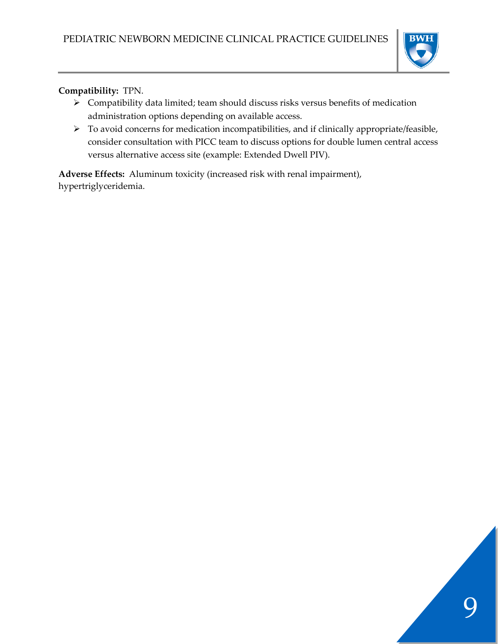

**Compatibility:** TPN.

- ➢ Compatibility data limited; team should discuss risks versus benefits of medication administration options depending on available access.
- ➢ To avoid concerns for medication incompatibilities, and if clinically appropriate/feasible, consider consultation with PICC team to discuss options for double lumen central access versus alternative access site (example: Extended Dwell PIV).

**Adverse Effects:** Aluminum toxicity (increased risk with renal impairment), hypertriglyceridemia.

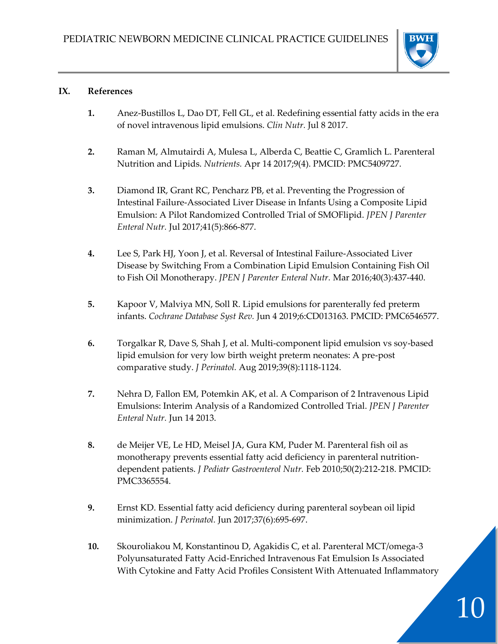

#### **IX. References**

- **1.** Anez-Bustillos L, Dao DT, Fell GL, et al. Redefining essential fatty acids in the era of novel intravenous lipid emulsions. *Clin Nutr.* Jul 8 2017.
- **2.** Raman M, Almutairdi A, Mulesa L, Alberda C, Beattie C, Gramlich L. Parenteral Nutrition and Lipids. *Nutrients.* Apr 14 2017;9(4). PMCID: PMC5409727.
- **3.** Diamond IR, Grant RC, Pencharz PB, et al. Preventing the Progression of Intestinal Failure-Associated Liver Disease in Infants Using a Composite Lipid Emulsion: A Pilot Randomized Controlled Trial of SMOFlipid. *JPEN J Parenter Enteral Nutr.* Jul 2017;41(5):866-877.
- **4.** Lee S, Park HJ, Yoon J, et al. Reversal of Intestinal Failure-Associated Liver Disease by Switching From a Combination Lipid Emulsion Containing Fish Oil to Fish Oil Monotherapy. *JPEN J Parenter Enteral Nutr.* Mar 2016;40(3):437-440.
- **5.** Kapoor V, Malviya MN, Soll R. Lipid emulsions for parenterally fed preterm infants. *Cochrane Database Syst Rev.* Jun 4 2019;6:CD013163. PMCID: PMC6546577.
- **6.** Torgalkar R, Dave S, Shah J, et al. Multi-component lipid emulsion vs soy-based lipid emulsion for very low birth weight preterm neonates: A pre-post comparative study. *J Perinatol.* Aug 2019;39(8):1118-1124.
- **7.** Nehra D, Fallon EM, Potemkin AK, et al. A Comparison of 2 Intravenous Lipid Emulsions: Interim Analysis of a Randomized Controlled Trial. *JPEN J Parenter Enteral Nutr.* Jun 14 2013.
- **8.** de Meijer VE, Le HD, Meisel JA, Gura KM, Puder M. Parenteral fish oil as monotherapy prevents essential fatty acid deficiency in parenteral nutritiondependent patients. *J Pediatr Gastroenterol Nutr.* Feb 2010;50(2):212-218. PMCID: PMC3365554.
- **9.** Ernst KD. Essential fatty acid deficiency during parenteral soybean oil lipid minimization. *J Perinatol.* Jun 2017;37(6):695-697.
- **10.** Skouroliakou M, Konstantinou D, Agakidis C, et al. Parenteral MCT/omega-3 Polyunsaturated Fatty Acid-Enriched Intravenous Fat Emulsion Is Associated With Cytokine and Fatty Acid Profiles Consistent With Attenuated Inflammatory